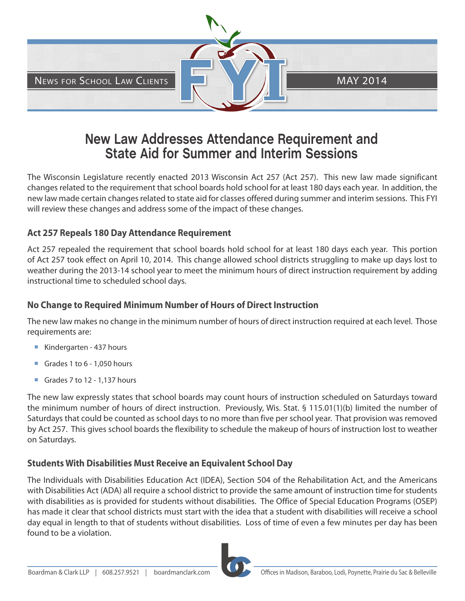

# **New Law Addresses Attendance Requirement and State Aid for Summer and Interim Sessions**

The Wisconsin Legislature recently enacted 2013 Wisconsin Act 257 (Act 257). This new law made significant changes related to the requirement that school boards hold school for at least 180 days each year. In addition, the new law made certain changes related to state aid for classes offered during summer and interim sessions. This FYI will review these changes and address some of the impact of these changes.

#### **Act 257 Repeals 180 Day Attendance Requirement**

Act 257 repealed the requirement that school boards hold school for at least 180 days each year. This portion of Act 257 took effect on April 10, 2014. This change allowed school districts struggling to make up days lost to weather during the 2013-14 school year to meet the minimum hours of direct instruction requirement by adding instructional time to scheduled school days.

#### **No Change to Required Minimum Number of Hours of Direct Instruction**

The new law makes no change in the minimum number of hours of direct instruction required at each level. Those requirements are:

- Kindergarten 437 hours
- Grades 1 to 6 1,050 hours
- Grades 7 to 12 1,137 hours

The new law expressly states that school boards may count hours of instruction scheduled on Saturdays toward the minimum number of hours of direct instruction. Previously, Wis. Stat. § 115.01(1)(b) limited the number of Saturdays that could be counted as school days to no more than five per school year. That provision was removed by Act 257. This gives school boards the flexibility to schedule the makeup of hours of instruction lost to weather on Saturdays.

# **Students With Disabilities Must Receive an Equivalent School Day**

The Individuals with Disabilities Education Act (IDEA), Section 504 of the Rehabilitation Act, and the Americans with Disabilities Act (ADA) all require a school district to provide the same amount of instruction time for students with disabilities as is provided for students without disabilities. The Office of Special Education Programs (OSEP) has made it clear that school districts must start with the idea that a student with disabilities will receive a school day equal in length to that of students without disabilities. Loss of time of even a few minutes per day has been found to be a violation.

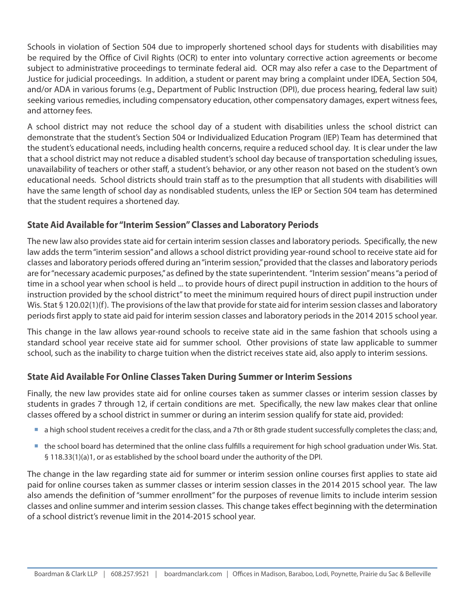Schools in violation of Section 504 due to improperly shortened school days for students with disabilities may be required by the Office of Civil Rights (OCR) to enter into voluntary corrective action agreements or become subject to administrative proceedings to terminate federal aid. OCR may also refer a case to the Department of Justice for judicial proceedings. In addition, a student or parent may bring a complaint under IDEA, Section 504, and/or ADA in various forums (e.g., Department of Public Instruction (DPI), due process hearing, federal law suit) seeking various remedies, including compensatory education, other compensatory damages, expert witness fees, and attorney fees.

A school district may not reduce the school day of a student with disabilities unless the school district can demonstrate that the student's Section 504 or Individualized Education Program (IEP) Team has determined that the student's educational needs, including health concerns, require a reduced school day. It is clear under the law that a school district may not reduce a disabled student's school day because of transportation scheduling issues, unavailability of teachers or other staff, a student's behavior, or any other reason not based on the student's own educational needs. School districts should train staff as to the presumption that all students with disabilities will have the same length of school day as nondisabled students, unless the IEP or Section 504 team has determined that the student requires a shortened day.

# **State Aid Available for "Interim Session" Classes and Laboratory Periods**

The new law also provides state aid for certain interim session classes and laboratory periods. Specifically, the new law adds the term "interim session" and allows a school district providing year-round school to receive state aid for classes and laboratory periods offered during an "interim session," provided that the classes and laboratory periods are for "necessary academic purposes," as defined by the state superintendent. "Interim session" means "a period of time in a school year when school is held ... to provide hours of direct pupil instruction in addition to the hours of instruction provided by the school district" to meet the minimum required hours of direct pupil instruction under Wis. Stat § 120.02(1)(f). The provisions of the law that provide for state aid for interim session classes and laboratory periods first apply to state aid paid for interim session classes and laboratory periods in the 2014 2015 school year.

This change in the law allows year-round schools to receive state aid in the same fashion that schools using a standard school year receive state aid for summer school. Other provisions of state law applicable to summer school, such as the inability to charge tuition when the district receives state aid, also apply to interim sessions.

# **State Aid Available For Online Classes Taken During Summer or Interim Sessions**

Finally, the new law provides state aid for online courses taken as summer classes or interim session classes by students in grades 7 through 12, if certain conditions are met. Specifically, the new law makes clear that online classes offered by a school district in summer or during an interim session qualify for state aid, provided:

- a high school student receives a credit for the class, and a 7th or 8th grade student successfully completes the class; and,
- the school board has determined that the online class fulfills a requirement for high school graduation under Wis. Stat. § 118.33(1)(a)1, or as established by the school board under the authority of the DPI.

The change in the law regarding state aid for summer or interim session online courses first applies to state aid paid for online courses taken as summer classes or interim session classes in the 2014 2015 school year. The law also amends the definition of "summer enrollment" for the purposes of revenue limits to include interim session classes and online summer and interim session classes. This change takes effect beginning with the determination of a school district's revenue limit in the 2014-2015 school year.